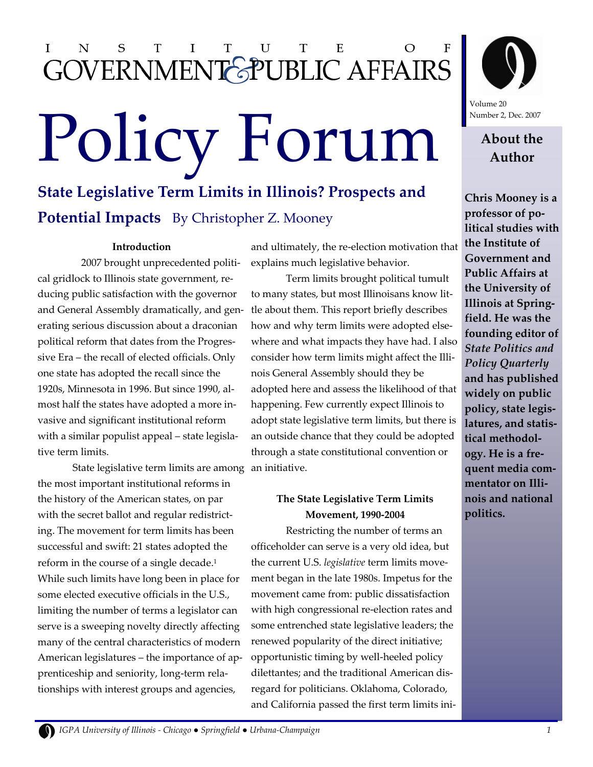#### N S T U T E I  $\bf{I}$ T GOVERNMENT SPUBLIC AFFAIRS

# Policy Forum About the

### **State Legislative Term Limits in Illinois? Prospects and Potential Impacts** By Christopher Z. Mooney

#### **Introduction**

2007 brought unprecedented political gridlock to Illinois state government, reducing public satisfaction with the governor and General Assembly dramatically, and generating serious discussion about a draconian political reform that dates from the Progressive Era – the recall of elected officials. Only one state has adopted the recall since the 1920s, Minnesota in 1996. But since 1990, almost half the states have adopted a more invasive and significant institutional reform with a similar populist appeal – state legislative term limits.

State legislative term limits are among an initiative. the most important institutional reforms in the history of the American states, on par with the secret ballot and regular redistricting. The movement for term limits has been successful and swift: 21 states adopted the reform in the course of a single decade.<sup>1</sup> While such limits have long been in place for some elected executive officials in the U.S., limiting the number of terms a legislator can serve is a sweeping novelty directly affecting many of the central characteristics of modern American legislatures – the importance of apprenticeship and seniority, long-term relationships with interest groups and agencies,

and ultimately, the re-election motivation that explains much legislative behavior.

Term limits brought political tumult to many states, but most Illinoisans know little about them. This report briefly describes how and why term limits were adopted elsewhere and what impacts they have had. I also consider how term limits might affect the Illinois General Assembly should they be adopted here and assess the likelihood of that happening. Few currently expect Illinois to adopt state legislative term limits, but there is an outside chance that they could be adopted through a state constitutional convention or

#### **The State Legislative Term Limits Movement, 1990-2004**

Restricting the number of terms an officeholder can serve is a very old idea, but the current U.S. *legislative* term limits movement began in the late 1980s. Impetus for the movement came from: public dissatisfaction with high congressional re-election rates and some entrenched state legislative leaders; the renewed popularity of the direct initiative; opportunistic timing by well-heeled policy dilettantes; and the traditional American disregard for politicians. Oklahoma, Colorado, and California passed the first term limits ini-



Volume 20 Number 2, Dec. 2007

## **Author**

**Chris Mooney is a professor of political studies with the Institute of Government and Public Affairs at the University of Illinois at Springfield. He was the founding editor of**  *State Politics and Policy Quarterly* **and has published widely on public policy, state legislatures, and statistical methodology. He is a frequent media commentator on Illinois and national politics.**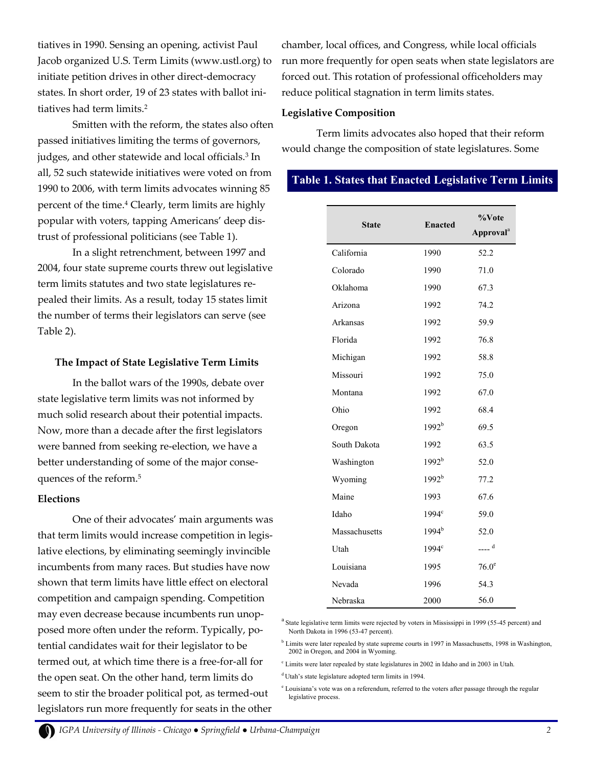tiatives in 1990. Sensing an opening, activist Paul Jacob organized U.S. Term Limits (www.ustl.org) to initiate petition drives in other direct-democracy states. In short order, 19 of 23 states with ballot initiatives had term limits.<sup>2</sup>

Smitten with the reform, the states also often passed initiatives limiting the terms of governors, judges, and other statewide and local officials.<sup>3</sup> In all, 52 such statewide initiatives were voted on from 1990 to 2006, with term limits advocates winning 85 percent of the time.<sup>4</sup> Clearly, term limits are highly popular with voters, tapping Americans' deep distrust of professional politicians (see Table 1).

In a slight retrenchment, between 1997 and 2004, four state supreme courts threw out legislative term limits statutes and two state legislatures repealed their limits. As a result, today 15 states limit the number of terms their legislators can serve (see Table 2).

#### **The Impact of State Legislative Term Limits**

In the ballot wars of the 1990s, debate over state legislative term limits was not informed by much solid research about their potential impacts. Now, more than a decade after the first legislators were banned from seeking re-election, we have a better understanding of some of the major consequences of the reform.<sup>5</sup>

#### **Elections**

One of their advocates' main arguments was that term limits would increase competition in legislative elections, by eliminating seemingly invincible incumbents from many races. But studies have now shown that term limits have little effect on electoral competition and campaign spending. Competition may even decrease because incumbents run unopposed more often under the reform. Typically, potential candidates wait for their legislator to be termed out, at which time there is a free-for-all for the open seat. On the other hand, term limits do seem to stir the broader political pot, as termed-out legislators run more frequently for seats in the other

chamber, local offices, and Congress, while local officials run more frequently for open seats when state legislators are forced out. This rotation of professional officeholders may reduce political stagnation in term limits states.

#### **Legislative Composition**

Term limits advocates also hoped that their reform would change the composition of state legislatures. Some

#### **Table 1. States that Enacted Legislative Term Limits**

| <b>State</b>  | <b>Enacted</b>    | %Vote<br><b>Approval</b> <sup>a</sup> |
|---------------|-------------------|---------------------------------------|
| California    | 1990              | 52.2                                  |
| Colorado      | 1990              | 71.0                                  |
| Oklahoma      | 1990              | 67.3                                  |
| Arizona       | 1992              | 74.2                                  |
| Arkansas      | 1992              | 59.9                                  |
| Florida       | 1992              | 76.8                                  |
| Michigan      | 1992              | 58.8                                  |
| Missouri      | 1992              | 75.0                                  |
| Montana       | 1992              | 67.0                                  |
| Ohio          | 1992              | 68.4                                  |
| Oregon        | 1992 <sup>b</sup> | 69.5                                  |
| South Dakota  | 1992              | 63.5                                  |
| Washington    | 1992 <sup>b</sup> | 52.0                                  |
| Wyoming       | 1992 <sup>b</sup> | 77.2                                  |
| Maine         | 1993              | 67.6                                  |
| Idaho         | 1994 <sup>c</sup> | 59.0                                  |
| Massachusetts | $1994^{\rm b}$    | 52.0                                  |
| Utah          | 1994 <sup>c</sup> | $---d$                                |
| Louisiana     | 1995              | 76.0 <sup>e</sup>                     |
| Nevada        | 1996              | 54.3                                  |
| Nebraska      | 2000              | 56.0                                  |

<sup>a</sup> State legislative term limits were rejected by voters in Mississippi in 1999 (55-45 percent) and North Dakota in 1996 (53-47 percent).

<sup>b</sup> Limits were later repealed by state supreme courts in 1997 in Massachusetts, 1998 in Washington, 2002 in Oregon, and 2004 in Wyoming.

 $\textdegree$  Limits were later repealed by state legislatures in 2002 in Idaho and in 2003 in Utah.

<sup>d</sup>Utah's state legislature adopted term limits in 1994.

<sup>e</sup> Louisiana's vote was on a referendum, referred to the voters after passage through the regular legislative process.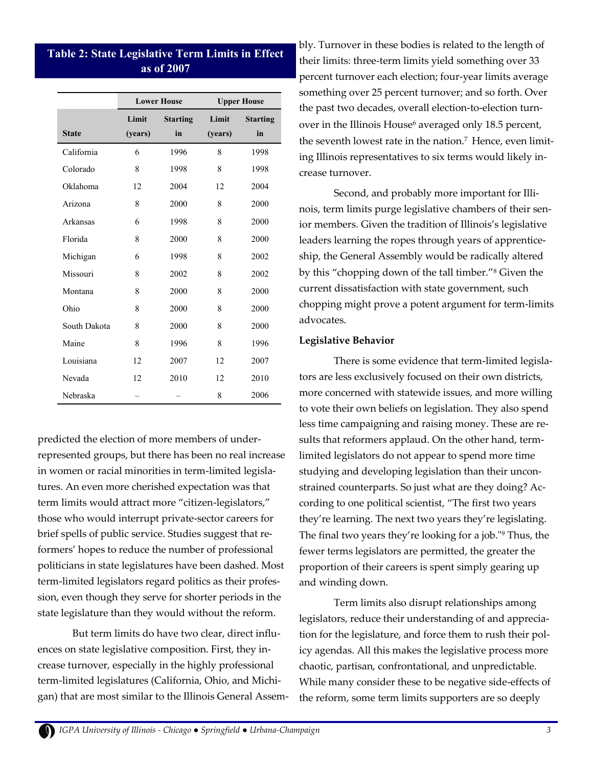#### **Table 2: State Legislative Term Limits in Effect as of 2007**

|              | <b>Lower House</b> |                       | <b>Upper House</b> |                       |
|--------------|--------------------|-----------------------|--------------------|-----------------------|
| <b>State</b> | Limit<br>(years)   | <b>Starting</b><br>in | Limit<br>(years)   | <b>Starting</b><br>in |
| California   | 6                  | 1996                  | 8                  | 1998                  |
| Colorado     | 8                  | 1998                  | 8                  | 1998                  |
| Oklahoma     | 12                 | 2004                  | 12                 | 2004                  |
| Arizona      | 8                  | 2000                  | 8                  | 2000                  |
| Arkansas     | 6                  | 1998                  | 8                  | 2000                  |
| Florida      | 8                  | 2000                  | 8                  | 2000                  |
| Michigan     | 6                  | 1998                  | 8                  | 2002                  |
| Missouri     | 8                  | 2002                  | 8                  | 2002                  |
| Montana      | 8                  | 2000                  | 8                  | 2000                  |
| Ohio         | 8                  | 2000                  | 8                  | 2000                  |
| South Dakota | 8                  | 2000                  | 8                  | 2000                  |
| Maine        | 8                  | 1996                  | 8                  | 1996                  |
| Louisiana    | 12                 | 2007                  | 12                 | 2007                  |
| Nevada       | 12                 | 2010                  | 12                 | 2010                  |
| Nebraska     |                    |                       | 8                  | 2006                  |

predicted the election of more members of underrepresented groups, but there has been no real increase in women or racial minorities in term-limited legislatures. An even more cherished expectation was that term limits would attract more "citizen-legislators," those who would interrupt private-sector careers for brief spells of public service. Studies suggest that reformers' hopes to reduce the number of professional politicians in state legislatures have been dashed. Most term-limited legislators regard politics as their profession, even though they serve for shorter periods in the state legislature than they would without the reform.

But term limits do have two clear, direct influences on state legislative composition. First, they increase turnover, especially in the highly professional term-limited legislatures (California, Ohio, and Michigan) that are most similar to the Illinois General Assem-

bly. Turnover in these bodies is related to the length of their limits: three-term limits yield something over 33 percent turnover each election; four-year limits average something over 25 percent turnover; and so forth. Over the past two decades, overall election-to-election turnover in the Illinois House<sup>6</sup> averaged only 18.5 percent, the seventh lowest rate in the nation.<sup>7</sup> Hence, even limiting Illinois representatives to six terms would likely increase turnover.

Second, and probably more important for Illinois, term limits purge legislative chambers of their senior members. Given the tradition of Illinois's legislative leaders learning the ropes through years of apprenticeship, the General Assembly would be radically altered by this "chopping down of the tall timber."<sup>8</sup> Given the current dissatisfaction with state government, such chopping might prove a potent argument for term-limits advocates.

#### **Legislative Behavior**

There is some evidence that term-limited legislators are less exclusively focused on their own districts, more concerned with statewide issues, and more willing to vote their own beliefs on legislation. They also spend less time campaigning and raising money. These are results that reformers applaud. On the other hand, termlimited legislators do not appear to spend more time studying and developing legislation than their unconstrained counterparts. So just what are they doing? According to one political scientist, "The first two years they're learning. The next two years they're legislating. The final two years they're looking for a job."<sup>9</sup> Thus, the fewer terms legislators are permitted, the greater the proportion of their careers is spent simply gearing up and winding down.

Term limits also disrupt relationships among legislators, reduce their understanding of and appreciation for the legislature, and force them to rush their policy agendas. All this makes the legislative process more chaotic, partisan, confrontational, and unpredictable. While many consider these to be negative side-effects of the reform, some term limits supporters are so deeply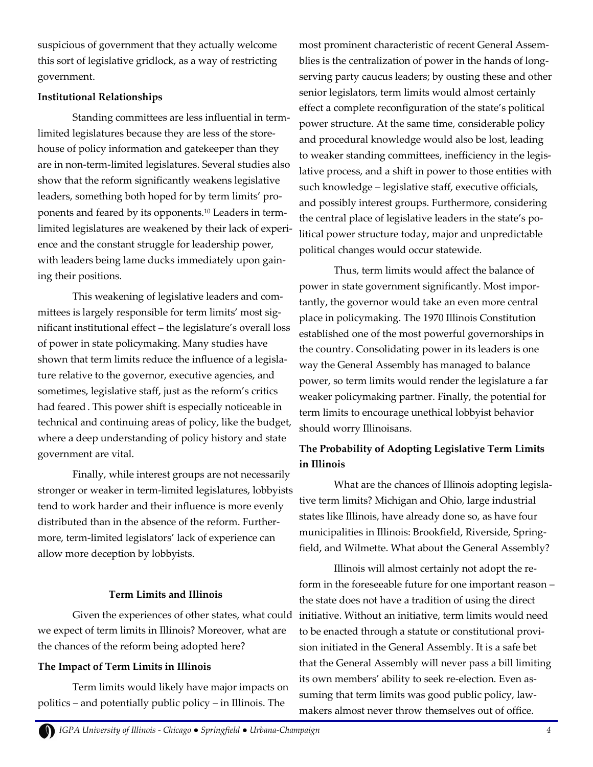suspicious of government that they actually welcome this sort of legislative gridlock, as a way of restricting government.

#### **Institutional Relationships**

Standing committees are less influential in termlimited legislatures because they are less of the storehouse of policy information and gatekeeper than they are in non-term-limited legislatures. Several studies also show that the reform significantly weakens legislative leaders, something both hoped for by term limits' proponents and feared by its opponents.<sup>10</sup> Leaders in termlimited legislatures are weakened by their lack of experience and the constant struggle for leadership power, with leaders being lame ducks immediately upon gaining their positions.

This weakening of legislative leaders and committees is largely responsible for term limits' most significant institutional effect – the legislature's overall loss of power in state policymaking. Many studies have shown that term limits reduce the influence of a legislature relative to the governor, executive agencies, and sometimes, legislative staff, just as the reform's critics had feared . This power shift is especially noticeable in technical and continuing areas of policy, like the budget, where a deep understanding of policy history and state government are vital.

Finally, while interest groups are not necessarily stronger or weaker in term-limited legislatures, lobbyists tend to work harder and their influence is more evenly distributed than in the absence of the reform. Furthermore, term-limited legislators' lack of experience can allow more deception by lobbyists.

#### **Term Limits and Illinois**

we expect of term limits in Illinois? Moreover, what are the chances of the reform being adopted here?

#### **The Impact of Term Limits in Illinois**

Term limits would likely have major impacts on politics – and potentially public policy – in Illinois. The

most prominent characteristic of recent General Assemblies is the centralization of power in the hands of longserving party caucus leaders; by ousting these and other senior legislators, term limits would almost certainly effect a complete reconfiguration of the state's political power structure. At the same time, considerable policy and procedural knowledge would also be lost, leading to weaker standing committees, inefficiency in the legislative process, and a shift in power to those entities with such knowledge – legislative staff, executive officials, and possibly interest groups. Furthermore, considering the central place of legislative leaders in the state's political power structure today, major and unpredictable political changes would occur statewide.

Thus, term limits would affect the balance of power in state government significantly. Most importantly, the governor would take an even more central place in policymaking. The 1970 Illinois Constitution established one of the most powerful governorships in the country. Consolidating power in its leaders is one way the General Assembly has managed to balance power, so term limits would render the legislature a far weaker policymaking partner. Finally, the potential for term limits to encourage unethical lobbyist behavior should worry Illinoisans.

#### **The Probability of Adopting Legislative Term Limits in Illinois**

What are the chances of Illinois adopting legislative term limits? Michigan and Ohio, large industrial states like Illinois, have already done so, as have four municipalities in Illinois: Brookfield, Riverside, Springfield, and Wilmette. What about the General Assembly?

Given the experiences of other states, what could initiative. Without an initiative, term limits would need Illinois will almost certainly not adopt the reform in the foreseeable future for one important reason – the state does not have a tradition of using the direct to be enacted through a statute or constitutional provision initiated in the General Assembly. It is a safe bet that the General Assembly will never pass a bill limiting its own members' ability to seek re-election. Even assuming that term limits was good public policy, lawmakers almost never throw themselves out of office.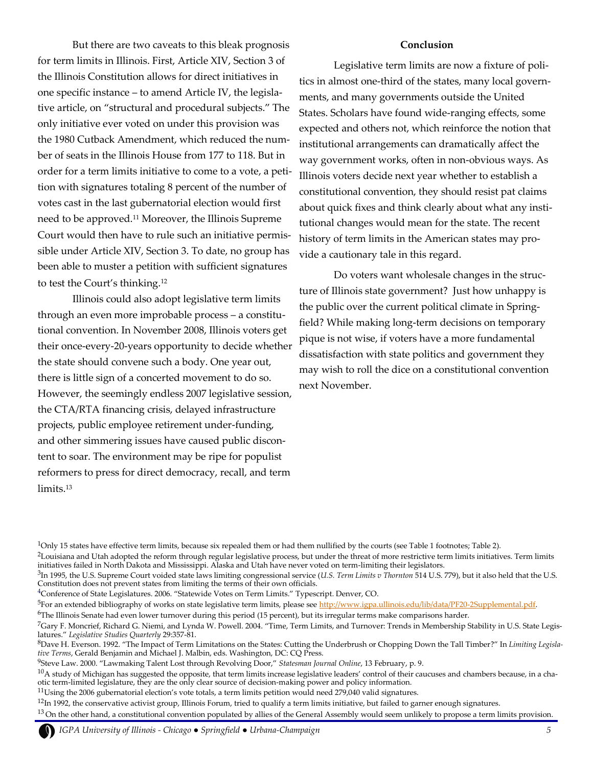But there are two caveats to this bleak prognosis for term limits in Illinois. First, Article XIV, Section 3 of the Illinois Constitution allows for direct initiatives in one specific instance – to amend Article IV, the legislative article, on "structural and procedural subjects." The only initiative ever voted on under this provision was the 1980 Cutback Amendment, which reduced the number of seats in the Illinois House from 177 to 118. But in order for a term limits initiative to come to a vote, a petition with signatures totaling 8 percent of the number of votes cast in the last gubernatorial election would first need to be approved.<sup>11</sup> Moreover, the Illinois Supreme Court would then have to rule such an initiative permissible under Article XIV, Section 3. To date, no group has been able to muster a petition with sufficient signatures to test the Court's thinking.<sup>12</sup>

Illinois could also adopt legislative term limits through an even more improbable process – a constitutional convention. In November 2008, Illinois voters get their once-every-20-years opportunity to decide whether the state should convene such a body. One year out, there is little sign of a concerted movement to do so. However, the seemingly endless 2007 legislative session, the CTA/RTA financing crisis, delayed infrastructure projects, public employee retirement under-funding, and other simmering issues have caused public discontent to soar. The environment may be ripe for populist reformers to press for direct democracy, recall, and term limits.<sup>13</sup>

#### **Conclusion**

Legislative term limits are now a fixture of politics in almost one-third of the states, many local governments, and many governments outside the United States. Scholars have found wide-ranging effects, some expected and others not, which reinforce the notion that institutional arrangements can dramatically affect the way government works, often in non-obvious ways. As Illinois voters decide next year whether to establish a constitutional convention, they should resist pat claims about quick fixes and think clearly about what any institutional changes would mean for the state. The recent history of term limits in the American states may provide a cautionary tale in this regard.

Do voters want wholesale changes in the structure of Illinois state government? Just how unhappy is the public over the current political climate in Springfield? While making long-term decisions on temporary pique is not wise, if voters have a more fundamental dissatisfaction with state politics and government they may wish to roll the dice on a constitutional convention next November.

<sup>&</sup>lt;sup>1</sup>Only 15 states have effective term limits, because six repealed them or had them nullified by the courts (see Table 1 footnotes; Table 2).

 ${}^{2}$ Louisiana and Utah adopted the reform through regular legislative process, but under the threat of more restrictive term limits initiatives. Term limits initiatives failed in North Dakota and Mississippi. Alaska and Utah have never voted on term-limiting their legislators.

<sup>3</sup> In 1995, the U.S. Supreme Court voided state laws limiting congressional service (*U.S. Term Limits v Thornton* 514 U.S. 779), but it also held that the U.S. Constitution does not prevent states from limiting the terms of their own officials.

<sup>4</sup>Conference of State Legislatures. 2006. "Statewide Votes on Term Limits." Typescript. Denver, CO.

<sup>&</sup>lt;sup>5</sup>For an extended bibliography of works on state legislative term limits, please see [http://www.igpa.ullinois.edu/lib/data/PF20-2Supplemental.pdf.](http://www.igpa.ullinois.edu/lib/data/PF20-2Supplemental.pdf)

 $6$ The Illinois Senate had even lower turnover during this period (15 percent), but its irregular terms make comparisons harder.

 $^7$ Gary F. Moncrief, Richard G. Niemi, and Lynda W. Powell. 2004. "Time, Term Limits, and Turnover: Trends in Membership Stability in U.S. State Legislatures." *Legislative Studies Quarterly* 29:357-81.

<sup>8</sup>Dave H. Everson. 1992. "The Impact of Term Limitations on the States: Cutting the Underbrush or Chopping Down the Tall Timber?" In *Limiting Legislative Terms*, Gerald Benjamin and Michael J. Malbin, eds. Washington, DC: CQ Press.

<sup>9</sup>Steve Law. 2000. "Lawmaking Talent Lost through Revolving Door," *Statesman Journal Online*, 13 February, p. 9.

 $10A$  study of Michigan has suggested the opposite, that term limits increase legislative leaders' control of their caucuses and chambers because, in a chaotic term-limited legislature, they are the only clear source of decision-making power and policy information.

 $11$ Using the 2006 gubernatorial election's vote totals, a term limits petition would need 279,040 valid signatures.

 $12$ In 1992, the conservative activist group, Illinois Forum, tried to qualify a term limits initiative, but failed to garner enough signatures.

 $13$  On the other hand, a constitutional convention populated by allies of the General Assembly would seem unlikely to propose a term limits provision.